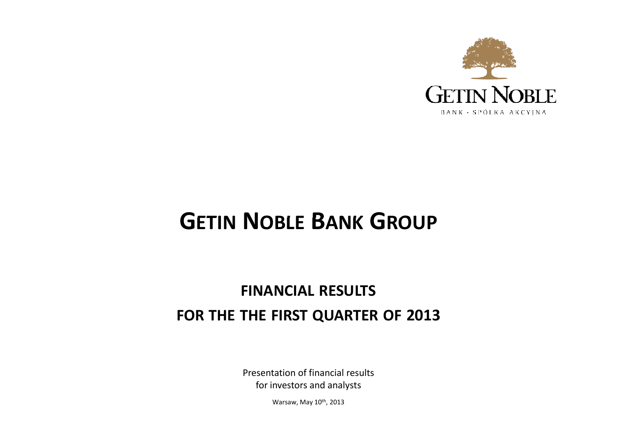

# **GETIN <sup>N</sup>OBLE <sup>B</sup>ANK <sup>G</sup>ROUP**

## **FINANCIAL RESULTS FOR THE THE FIRST QUARTER OF <sup>2013</sup>**

Presentation of financial resultsfor investors and analysts

Warsaw, May 10<sup>th</sup>, 2013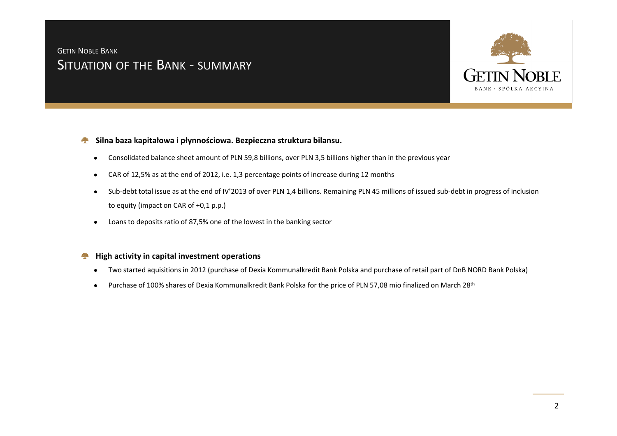## <sup>S</sup>ITUATION OF THE <sup>B</sup>ANK - SUMMARY GETIN <sup>N</sup>OBLE <sup>B</sup>ANK



#### **Silna baza kapitałowa i płynnościowa. Bezpieczna struktura bilansu.A**

- $\bullet$ Consolidated balance sheet amount of PLN 59,8 billions, over PLN 3,5 billions higher than in the previous year
- $\bullet$ CAR of 12,5% as at the end of 2012, i.e. 1,3 percentage points of increase during 12 months
- $\bullet$  Sub-debt total issue as at the end of IV'2013 of over PLN 1,4 billions. Remaining PLN 45 millions of issued sub-debt in progress of inclusion to equity (impact on CAR of +0,1 p.p.)
- Loans to deposits ratio of 87,5% one of the lowest in the banking sector $\bullet$

#### **High activity in capital investment operations**

- $\bullet$ Two started aquisitions in 2012 (purchase of Dexia Kommunalkredit Bank Polska and purchase of retail part of DnB NORD Bank Polska)
- $\bullet$ Purchase of 100% shares of Dexia Kommunalkredit Bank Polska for the price of PLN 57,08 mio finalized on March 28<sup>th</sup>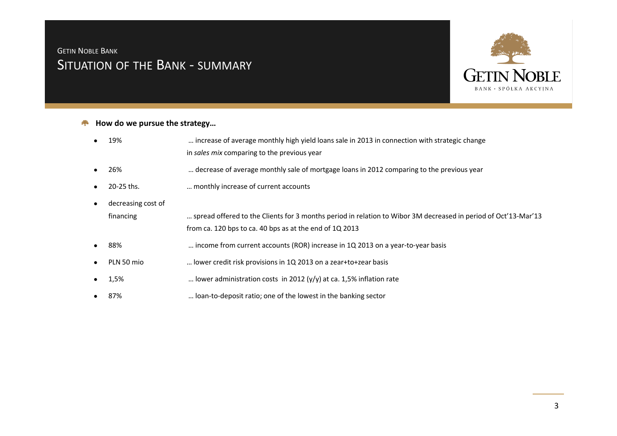## <sup>S</sup>ITUATION OF THE <sup>B</sup>ANK - SUMMARY GETIN <sup>N</sup>OBLE <sup>B</sup>ANK



#### **How do we pursue the strategy…**▲

- $\bullet$  19% … increase of average monthly high yield loans sale in 2013 in connection with strategic change in *sales mix* comparing to the previous year
- ●26% … decrease of average monthly sale of mortgage loans in 2012 comparing to the previous year
- ●20-25 ths. … monthly increase of current accounts
- $\bullet$ decreasing cost of

financing … spread offered to the Clients for 3 months period in relation to Wibor 3M decreased in period of Oct'13-Mar'13 from ca. 120 bps to ca. 40 bps as at the end of 1Q 2013

- ●88% … income from current accounts (ROR) increase in 1Q 2013 on a year-to-year basis
- ●PLN 50 mio … lower credit risk provisions in 1Q 2013 on a zear+to+zear basis
- ●1,5% 1,5% ... lower administration costs in 2012 (y/y) at ca. 1,5% inflation rate
- $\bullet$ 87% … loan-to-deposit ratio; one of the lowest in the banking sector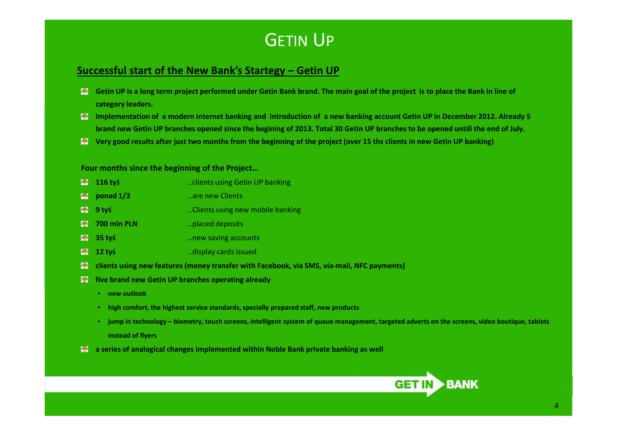# GETIN <sup>U</sup><sup>P</sup>

#### **Successful start of the New Bank's Startegy – Getin UP**

- **Getin UP** is a long term project performed under Getin Bank brand. The main goal of the project is to place the Bank in line of **category leaders.**
- **Implementation of a modern internet banking and introduction of a new banking account Getin UP in December 2012. Already 5 brand new Getin UP branches opened since the begining of 2013. Total 30 Getin UP branches to be opened untill the end of July.**
- **Very good results after just two months from the beginning of the project (over 15 ths clients in new Getin UP banking)**

#### **Four months since the beginning of the Project…**

- **116 tyś 116 tyś 116 tyś 116 tyś 116 tyś 116 tyś 116 tyś 116 tyś 116 tyś 116 tyś 116 tyś 116 tyś 116 tyś 116 tyś 116 tyś 116 tyś 116 tyś 116 tyś 116 tyś 116 tyś 116 tyś 116 tyś 1**
- **Ponad 1/3** …are new Clients
- **9 tyś 9 tyś 19 million 19 million 19 million 19 million 19 million 19 million 19 million 19 million 19 million 19 million 19 million 19 million 19 million 19 million 19 million 19 million 19 million 19 million 19 mill**
- **700 mln PLN**…placed deposits
- **35 tyś**…new saving accounts
- **12 tyś**…display cards issued
- **clients using new features (money transfer with Facebook, via SMS, via-mail, NFC payments)**
- **five brand new Getin UP branches operating already** 
	- **new outlook**
	- **high comfort, the highest service standards, specially prepared staff, new products**
	- **jump in technology – biometry, touch screens, intelligent system of queue management, targeted adverts on the screens, video boutique, tablets instead of flyers**
- $\bullet$  a series of analogical changes implemented within Noble Bank private banking as well

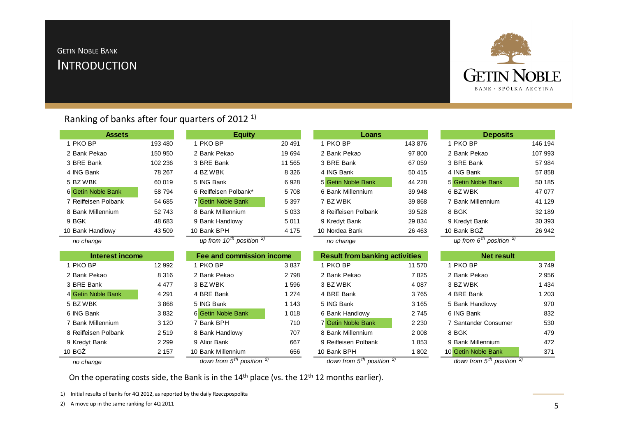#### **INTRODUCTION** GETIN <sup>N</sup>OBLE <sup>B</sup>ANK



#### Ranking of banks after four quarters of 2012 1)

| <b>Assets</b>          |         | <b>Equity</b>                      |         | Loans                                 |         | <b>Deposits</b>                                |         |
|------------------------|---------|------------------------------------|---------|---------------------------------------|---------|------------------------------------------------|---------|
| 1 PKO BP               | 193 480 | 1 PKO BP                           | 20 491  | 1 PKO BP                              | 143 876 | 1 PKO BP                                       | 146 194 |
| 2 Bank Pekao           | 150 950 | 2 Bank Pekao                       | 19 694  | 2 Bank Pekao                          | 97 800  | 2 Bank Pekao                                   | 107 993 |
| 3 BRE Bank             | 102 236 | 3 BRE Bank                         | 11 565  | 3 BRE Bank                            | 67 059  | 3 BRE Bank                                     | 57 984  |
| 4 ING Bank             | 78 267  | 4 BZ WBK                           | 8 3 2 6 | 4 ING Bank                            | 50 415  | 4 ING Bank                                     | 57 858  |
| 5 BZ WBK               | 60 019  | 5 ING Bank                         | 6928    | 5 Getin Noble Bank                    | 44 228  | 5 Getin Noble Bank                             | 50 185  |
| 6 Getin Noble Bank     | 58 794  | 6 Reiffeisen Polbank*              | 5708    | 6 Bank Millennium                     | 39 948  | 6 BZ WBK                                       | 47 077  |
| 7 Reiffeisen Polbank   | 54 685  | 7 Getin Noble Bank                 | 5 3 9 7 | 7 BZ WBK                              | 39 868  | 7 Bank Millennium                              | 41 129  |
| 8 Bank Millennium      | 52 743  | 8 Bank Millennium                  | 5 0 3 3 | 8 Reiffeisen Polbank                  | 39 5 28 | 8 BGK                                          | 32 189  |
| 9 BGK                  | 48 683  | 9 Bank Handlowy                    | 5011    | 9 Kredyt Bank                         | 29 834  | 9 Kredyt Bank                                  | 30 393  |
| 10 Bank Handlowy       | 43 509  | 10 Bank BPH                        | 4 1 7 5 | 10 Nordea Bank                        | 26 4 63 | 10 Bank BGZ                                    | 26 942  |
| no change              |         | up from $10^{th}$ position $^{2)}$ |         | no change                             |         | up from $6^{th}$ position $^{2)}$              |         |
| <b>Interest income</b> |         | Fee and commission income          |         | <b>Result from banking activities</b> |         | <b>Net result</b>                              |         |
| 1 PKO BP               | 12 992  | 1 PKO BP                           | 3837    | 1 PKO BP                              | 11 570  | 1 PKO BP                                       | 3749    |
| 2 Bank Pekao           | 8 3 1 6 | 2 Bank Pekao                       | 2798    | 2 Bank Pekao                          | 7825    | 2 Bank Pekao                                   | 2 9 5 6 |
| 3 BRE Bank             | 4 4 7 7 | 3 BZ WBK                           | 1 5 9 6 | 3 BZ WBK                              | 4 0 8 7 | 3 BZ WBK                                       | 1 4 3 4 |
| 4 Getin Noble Bank     | 4 2 9 1 | 4 BRE Bank                         | 1 2 7 4 | 4 BRE Bank                            | 3765    | 4 BRE Bank                                     | 1 203   |
| 5 BZ WBK               | 3868    | 5 ING Bank                         | 1 1 4 3 | 5 ING Bank                            | 3 1 6 5 | 5 Bank Handlowy                                | 970     |
| 6 ING Bank             | 3832    | 6 Getin Noble Bank                 | 1 0 1 8 | 6 Bank Handlowy                       | 2745    | 6 ING Bank                                     | 832     |
| 7 Bank Millennium      | 3 1 2 0 | 7 Bank BPH                         | 710     | 7 Getin Noble Bank                    | 2 2 3 0 | 7 Santander Consumer                           | 530     |
| 8 Reiffeisen Polbank   | 2519    | 8 Bank Handlowy                    | 707     | 8 Bank Millennium                     | 2 0 0 8 | 8 BGK                                          | 479     |
| 9 Kredyt Bank          | 2 2 9 9 | 9 Alior Bank                       | 667     | 9 Reiffeisen Polbank                  | 1853    | 9 Bank Millennium                              | 472     |
| 10 <sub>BGZ</sub>      | 2 1 5 7 | 10 Bank Millennium                 | 656     | 10 Bank BPH                           | 1802    | 10 Getin Noble Bank                            | 371     |
| no change              |         | down from $5^{th}$ position $2$    |         | down from $5^{th}$ position $2$ )     |         | down from $5^{\overline{th}}$ position $^{2)}$ |         |

On the operating costs side, the Bank is in the  $14^{\text{th}}$  place (vs. the  $12^{\text{th}}$  12 months earlier).

1) Initial results of banks for 4Q 2012, as reported by the daily Rzeczpospolita

2) A move up in the same ranking for 4Q 2011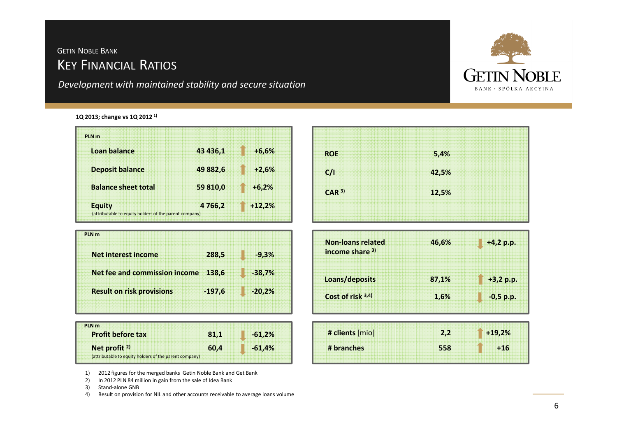## KEY <sup>F</sup>INANCIAL <sup>R</sup>ATIOS GETIN <sup>N</sup>OBLE <sup>B</sup>ANK

*Development with maintained stability and secure situation*



#### **1Q 2013; change vs 1Q 2012 1)**

| <b>PIN<sub>m</sub></b>     |          |          |
|----------------------------|----------|----------|
| Loan balance               | 43 436,1 | $+6,6%$  |
| <b>Deposit balance</b>     | 49 882.6 | $+2.6%$  |
| <b>Balance sheet total</b> | 59 810,0 | $+6.2%$  |
| <b>Equity</b>              | 4766,2   | $+12,2%$ |

| PLN <sub>m</sub>                     |          |          |
|--------------------------------------|----------|----------|
| Net interest income                  | 288,5    | $-9.3%$  |
| <b>Net fee and commission income</b> | 138,6    | $-38,7%$ |
| <b>Result on risk provisions</b>     | $-197,6$ | $-20.2%$ |
|                                      |          |          |

| PLN <sub>m</sub>         |                                                        |      |          |
|--------------------------|--------------------------------------------------------|------|----------|
|                          |                                                        |      |          |
| <b>Profit before tax</b> |                                                        | 81,1 | $-61,2%$ |
|                          |                                                        |      |          |
|                          |                                                        |      |          |
|                          |                                                        |      |          |
| Net profit <sup>2)</sup> |                                                        | 60.4 | $-61,4%$ |
|                          | (attributable to equity holders of the parent company) |      |          |
|                          |                                                        |      |          |

| <b>ROE</b>                                  | 5,4%  |             |
|---------------------------------------------|-------|-------------|
| C/1                                         | 42,5% |             |
| CAR <sup>3</sup>                            | 12,5% |             |
| <b>Non-loans related</b><br>income share 3) | 46,6% | $+4,2 p.p.$ |
| Loans/deposits                              | 87,1% | $+3,2 p.p.$ |
| Cost of risk 3,4)                           | 1,6%  | $-0,5$ p.p. |
|                                             |       |             |
| # clients [mio]                             | 2,2   | $+19,2%$    |

1) 2012 figures for the merged banks Getin Noble Bank and Get Bank 2) In 2012 PLN 84 million in gain from the sale of Idea Bank

2) In 2012 PLN 84 million in gain from the sale of Idea Bank<br>3) Stand-alone GNB

3) Stand-alone GNB<br>4) Result on provisio

4) Result on provision for NIL and other accounts receivable to average loans volume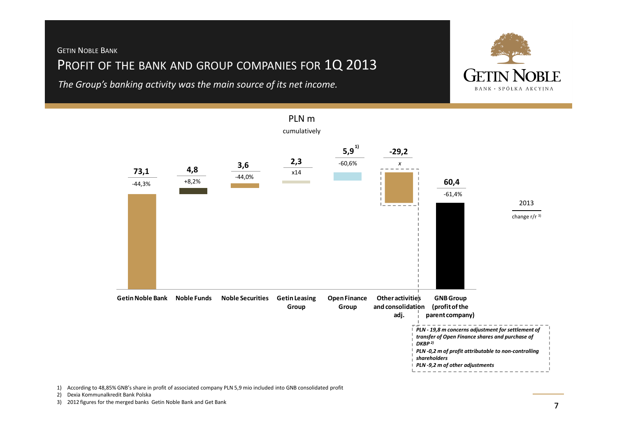#### GETIN <sup>N</sup>OBLE <sup>B</sup>ANK

## Profit of the bank and group companies for  $1{\mathsf Q}$  2013

*The Group's banking activity was the main source of its net income.*





## PLN m

1) According to 48,85% GNB's share in profit of associated company PLN 5,9 mio included into GNB consolidated profit

2) Dexia Kommunalkredit Bank Polska

3) 2012 figures for the merged banks Getin Noble Bank and Get Bank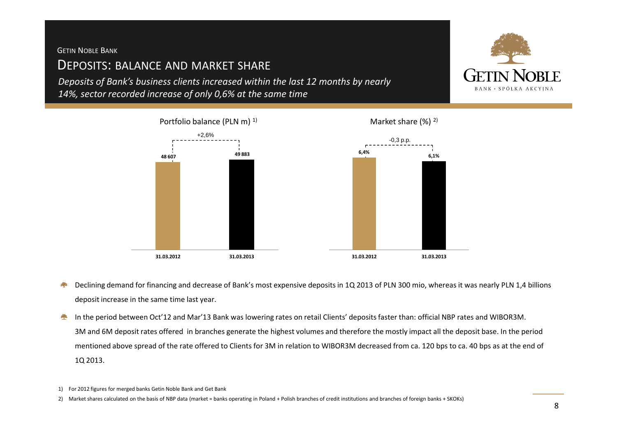GETIN <sup>N</sup>OBLE <sup>B</sup>ANK

### <sup>D</sup>EPOSITS: BALANCE AND MARKET SHARE

*Deposits of Bank's business clients increased within the last 12 months by nearly 14%, sector recorded increase of only 0,6% at the same time*



- Declining demand for financing and decrease of Bank's most expensive deposits in 1Q 2013 of PLN 300 mio, whereas it was nearly PLN 1,4 billions 疊 deposit increase in the same time last year.
- In the period between Oct'12 and Mar'13 Bank was lowering rates on retail Clients' deposits faster than: official NBP rates and WIBOR3M. 泰 3M and 6M deposit rates offered in branches generate the highest volumes and therefore the mostly impact all the deposit base. In the period mentioned above spread of the rate offered to Clients for 3M in relation to WIBOR3M decreased from ca. 120 bps to ca. 40 bps as at the end of 1Q 2013.
- 1) For 2012 figures for merged banks Getin Noble Bank and Get Bank
- 2) Market shares calculated on the basis of NBP data (market = banks operating in Poland + Polish branches of credit institutions and branches of foreign banks + SKOKs)

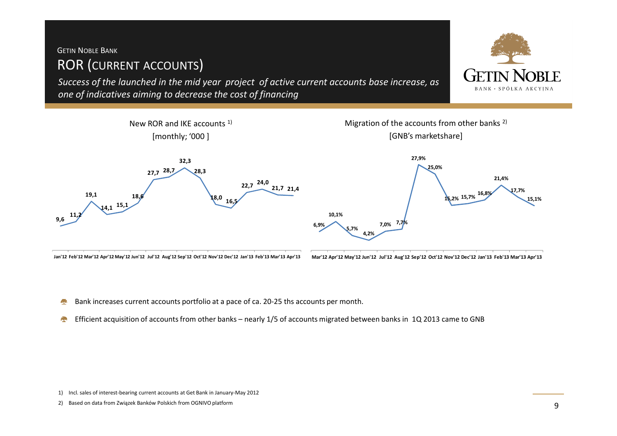### ROR (CURRENT ACCOUNTS) GETIN <sup>N</sup>OBLE <sup>B</sup>ANK

*Success of the launched in the mid year project of active current accounts base increase, as one of indicatives aiming to decrease the cost of financing*

New ROR and IKE accounts 1) [monthly; '000 ]Migration of the accounts from other banks<sup>2)</sup> [GNB's marketshare]**9,6 11,2 19,1 14,1 15,1 18,627,7 28,7 32,3 28,3** $\binom{8,0}{16}$ **22,7** <sup>24,0</sup> **21,410,1%27,9%25,0%15,2% 15,7% 16,8% 21,4%17,7%15,1%Jan'12 Feb'12 Mar'12 Apr'12 May'12 Jun'12 Jul'12 Aug'12 Sep'12 Oct'12 Nov'12 Dec'12 Jan'13 Feb'13 Mar'13 Apr'13 6,9%5,7%4,2%7,0% 7,7% Mar'12 Apr'12 May'12 Jun'12 Jul'12 Aug'12 Sep'12 Oct'12 Nov'12 Dec'12 Jan'13 Feb'13 Mar'13 Apr'13**

- Bank increases current accounts portfolio at a pace of ca. 20-25 ths accounts per month.壘
- Efficient acquisition of accounts from other banks nearly 1/5 of accounts migrated between banks in 1Q 2013 came to GNB $\mathcal{L}_{\mathcal{R}}$

2) Based on data from Związek Banków Polskich from OGNIVO platform



<sup>1)</sup> Incl. sales of interest-bearing current accounts at Get Bank in January-May 2012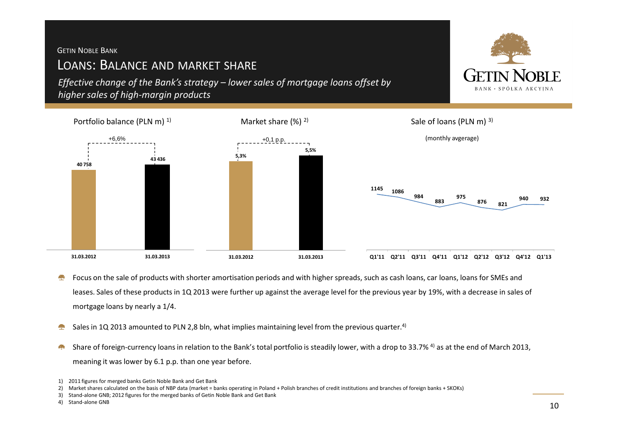#### GETIN <sup>N</sup>OBLE <sup>B</sup>ANK

## LOANS: BALANCE AND MARKET SHARE

*Effective change of the Bank's strategy – lower sales of mortgage loans offset by higher sales of high-margin products*



- Focus on the sale of products with shorter amortisation periods and with higher spreads, such as cash loans, car loans, loans for SMEs and **A** leases. Sales of these products in 1Q 2013 were further up against the average level for the previous year by 19%, with a decrease in sales of mortgage loans by nearly a 1/4.
- Sales in 1Q 2013 amounted to PLN 2,8 bln, what implies maintaining level from the previous quarter.<sup>4)</sup> فليبي
- Share of foreign-currency loans in relation to the Bank's total portfolio is steadily lower, with a drop to 33.7% <sup>4)</sup> as at the end of March 2013, meaning it was lower by 6.1 p.p. than one year before.



<sup>1)</sup> 2011 figures for merged banks Getin Noble Bank and Get Bank

<sup>2)</sup> Market shares calculated on the basis of NBP data (market = banks operating in Poland + Polish branches of credit institutions and branches of foreign banks + SKOKs)<br>3) Stand-alone GNB; 2012 figures for the merged banks

<sup>3)</sup> Stand-alone GNB; 2012 figures for the merged banks of Getin Noble Bank and Get Bank

<sup>4)</sup> Stand-alone GNB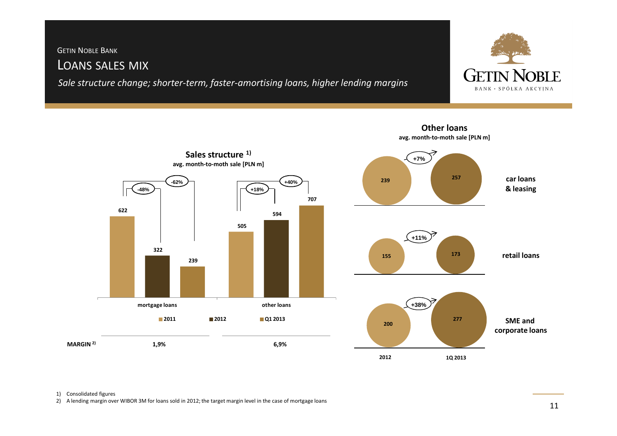#### LOANS SALES MIX GETIN <sup>N</sup>OBLE <sup>B</sup>ANK

*Sale structure change; shorter-term, faster-amortising loans, higher lending margins* 





**Other loans**

#### 1) Consolidated figures

2) A lending margin over WIBOR 3M for loans sold in 2012; the target margin level in the case of mortgage loans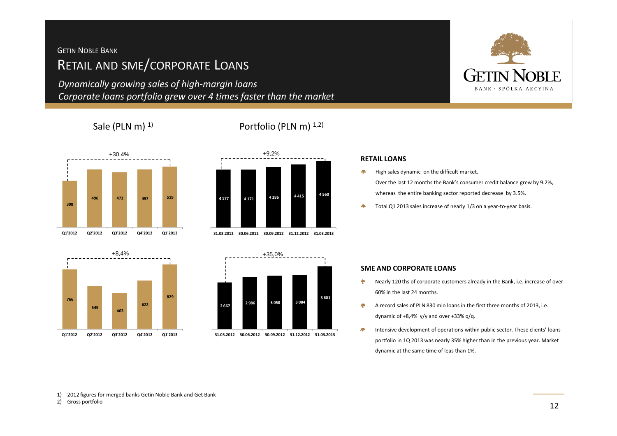### <sup>R</sup>ETAIL AND SME/CORPORATE <sup>L</sup>OANS GETIN <sup>N</sup>OBLE <sup>B</sup>ANK

*Dynamically growing sales of high-margin loansCorporate loans portfolio grew over 4 times faster than the market*

#### Sale (PLN m)  $^{1}$  Portfolio (PLN m)  $^{1,2}$

# +30,4%**Q1'2012**





**Q2'2012 Q3'2012 Q4'2012 Q1'2013 31.03.2012 30.06.2012 30.09.2012 31.12.2012 31.03.2013**



# **RIF BANK · SPÓŁKA AKCYINA**

#### **RETAIL LOANS**

- $\frac{1}{2}$ High sales dynamic on the difficult market.Over the last 12 months the Bank's consumer credit balance grew by 9.2%, whereas the entire banking sector reported decrease by 3.5%.
- Total Q1 2013 sales increase of nearly 1/3 on a year-to-year basis. **<sup>398</sup>**

#### **SME AND CORPORATE LOANS**

- Nearly 120 ths of corporate customers already in the Bank, i.e. increase of over  $\epsilon_{\rm p}$ 60% in the last 24 months.
- 桑 A record sales of PLN 830 mio loans in the first three months of 2013, i.e. dynamic of  $+8.4\%$  y/y and over  $+33\%$  g/g.
- 燕 Intensive development of operations within public sector. These clients' loans portfolio in 1Q 2013 was nearly 35% higher than in the previous year. Market dynamic at the same time of leas than 1%.

1) 2012 figures for merged banks Getin Noble Bank and Get Bank

2) Gross portfolio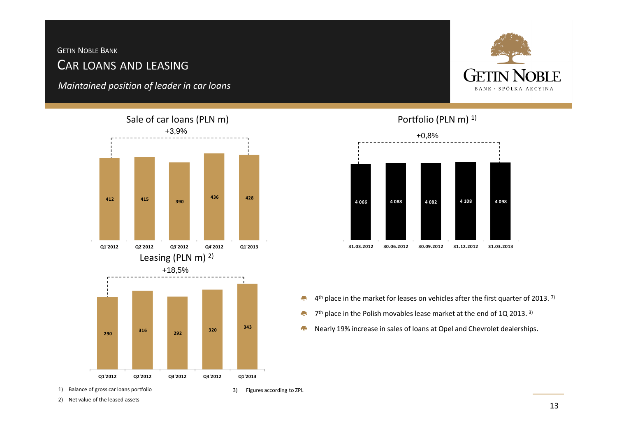## <sup>C</sup>AR LOANS AND LEASINGGETIN <sup>N</sup>OBLE <sup>B</sup>ANK

*Maintained position of leader in car loans*





1) Balance of gross car loans portfolio

3) Figures according to ZPL

2) Net value of the leased assets

#### Portfolio (PLN m)<sup>1)</sup>



- $4$ <sup>th</sup> place in the market for leases on vehicles after the first quarter of 2013. <sup>7)</sup> Ą
- **Alp** 7<sup>th</sup> place in the Polish movables lease market at the end of 1Q 2013. <sup>3)</sup>
- Nearly 19% increase in sales of loans at Opel and Chevrolet dealerships.A.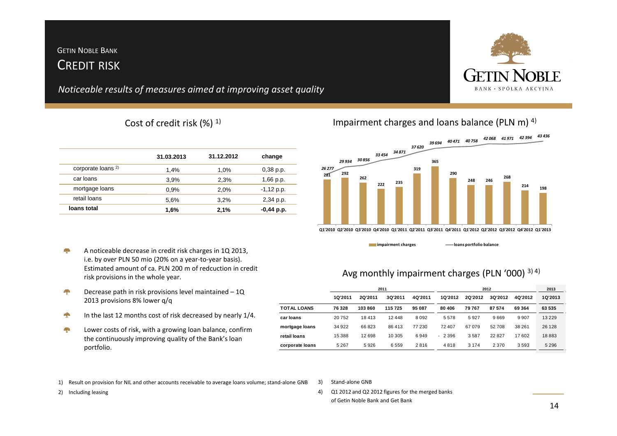#### <sup>C</sup>REDIT RISKGETIN <sup>N</sup>OBLE <sup>B</sup>ANK

*Noticeable results of measures aimed at improving asset quality*

#### Cost of credit risk  $(\%)$ <sup>1)</sup> Impairment charges and loans balance (PLN m)<sup>4)</sup>

|                               | 31.03.2013 | 31.12.2012 | change       |
|-------------------------------|------------|------------|--------------|
| corporate loans <sup>2)</sup> | 1.4%       | 1.0%       | $0,38$ p.p.  |
| car loans                     | 3,9%       | 2,3%       | $1,66$ p.p.  |
| mortgage loans                | 0.9%       | 2,0%       | $-1,12$ p.p. |
| retail loans                  | 5,6%       | 3.2%       | 2,34 p.p.    |
| loans total                   | 1,6%       | 2,1%       | $-0,44$ p.p. |
|                               |            |            |              |

- A noticeable decrease in credit risk charges in 1Q 2013, q. i.e. by over PLN 50 mio (20% on a year-to-year basis). Estimated amount of ca. PLN 200 m of redcuction in credit risk provisions in the whole year.
- **AP** Decrease path in risk provisions level maintained – 1Q 2013 provisions 8% lower q/q
- In the last 12 months cost of risk decreased by nearly 1/4. €
- **System** Lower costs of risk, with a growing loan balance, confirm the continuously improving quality of the Bank's loan portfolio.

|                | 2011    |                |         | 2012    |         |         |                | 2013    |         |
|----------------|---------|----------------|---------|---------|---------|---------|----------------|---------|---------|
|                | 1Q'2011 | <b>2Q'2011</b> | 3Q'2011 | 4Q'2011 | 1Q'2012 | 2Q'2012 | <b>3Q'2012</b> | 40'2012 | 1Q'2013 |
| TOTAL LOANS    | 76 328  | 103860         | 115725  | 95 087  | 80 40 6 | 79 767  | 87 574         | 69 364  | 63 535  |
| car Ioans      | 20752   | 18413          | 12448   | 8092    | 5578    | 5927    | 9669           | 9907    | 13 2 29 |
| mortgage Ioans | 34 922  | 66823          | 86413   | 77 230  | 72 407  | 67079   | 52708          | 38 261  | 26 128  |

**retail loans** 12 698 15 388 10 305 6 949 2 396 - 3 587 22 827 17 602 18 883 **corporate loans** 5 926 5 267 6 559 2 816 4 818 3 174 2 370 3 593 5 296

*39 694 40 471 40 758 42 068 41 971 42 394 43 436* 



1) Result on provision for NIL and other accounts receivable to average loans volume; stand-alone GNB

2) Including leasing

- 3) Stand-alone GNB
- 4) Q1 2012 and Q2 2012 figures for the merged banks of Getin Noble Bank and Get Bank

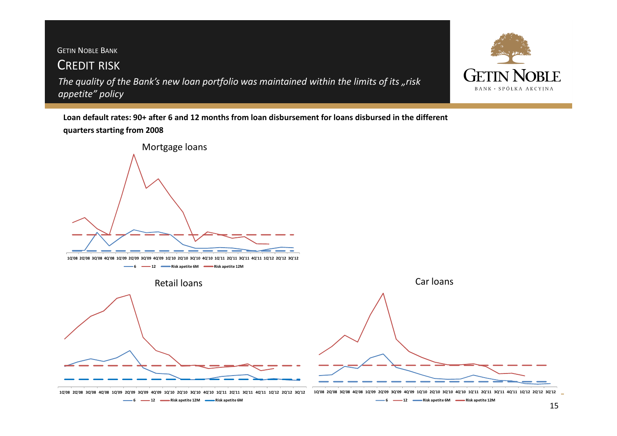## <sup>C</sup>REDIT RISK *The quality of the Bank's new loan portfolio was maintained within the limits of its "risk*  GETIN <sup>N</sup>OBLE <sup>B</sup>ANK *appetite" policy*



**Loan default rates: 90+ after 6 and 12 months from loan disbursement for loans disbursed in the different quarters starting from 2008**

![](_page_14_Figure_3.jpeg)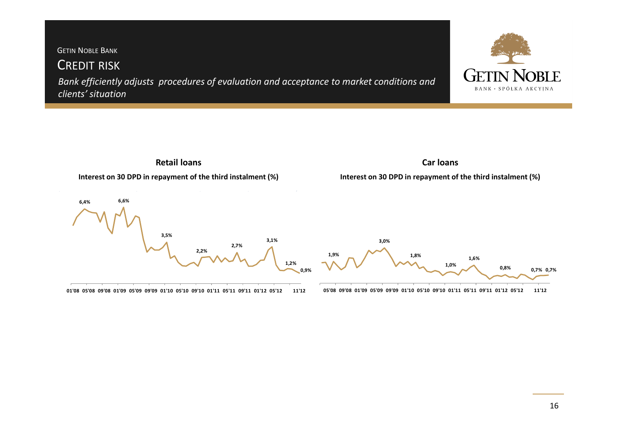GETIN <sup>N</sup>OBLE <sup>B</sup>ANK <sup>C</sup>REDIT RISK *Bank efficiently adjusts procedures of evaluation and acceptance to market conditions and*  BANK · SPÓŁKA AKCYJNA *clients' situation*

![](_page_15_Figure_1.jpeg)

01'08 05'08 09'08 01'09 05'09 09'09 01'10 05'10 09'10 01'11 05'11 09'11 01'12 05'12 11'12

05'08 09'08 01'09 05'09 09'09 01'10 05'10 09'10 01'11 05'11 09'11 01'12 05'12 11'12

**RIE**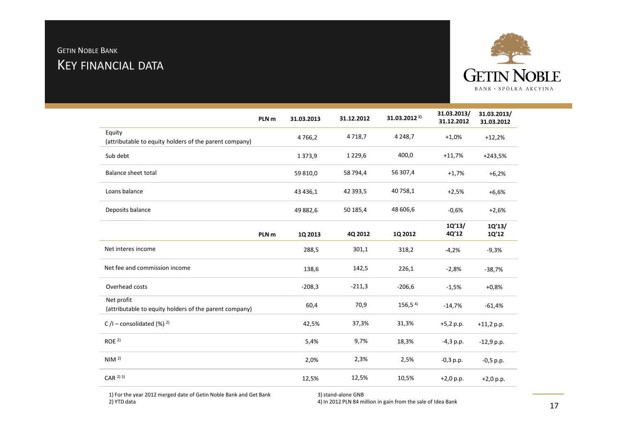### <sup>K</sup>EY FINANCIAL DATAGETIN <sup>N</sup>OBLE <sup>B</sup>ANK

![](_page_16_Picture_1.jpeg)

| PLN <sub>m</sub>                                                     | 31.03.2013  | 31.12.2012 | 31.03.2012 <sup>1)</sup> | 31.03.2013/<br>31.12.2012 | 31.03.2013/<br>31.03.2012 |
|----------------------------------------------------------------------|-------------|------------|--------------------------|---------------------------|---------------------------|
| Equity<br>(attributable to equity holders of the parent company)     | 4766,2      | 4718,7     | 4 2 4 8 , 7              | $+1,0%$                   | $+12,2%$                  |
| Sub debt                                                             | 1373,9      | 1 2 2 9,6  | 400,0                    | $+11,7%$                  | $+243,5%$                 |
| <b>Balance sheet total</b>                                           | 59 810,0    | 58 794,4   | 56 307,4                 | $+1,7%$                   | $+6,2%$                   |
| Loans balance                                                        | 43 4 3 6, 1 | 42 393,5   | 40 758,1                 | $+2,5%$                   | $+6,6%$                   |
| Deposits balance                                                     | 49 882,6    | 50 185,4   | 48 606,6                 | $-0,6%$                   | $+2,6%$                   |
| PLN <sub>m</sub>                                                     | 1Q 2013     | 4Q 2012    | 1Q 2012                  | 1Q'13/<br>4Q'12           | 1Q'13/<br>1Q'12           |
| Net interes income                                                   | 288,5       | 301,1      | 318,2                    | $-4,2%$                   | $-9,3%$                   |
| Net fee and commission income                                        | 138,6       | 142,5      | 226,1                    | $-2,8%$                   | $-38,7%$                  |
| Overhead costs                                                       | $-208,3$    | $-211,3$   | $-206,6$                 | $-1,5%$                   | $+0,8%$                   |
| Net profit<br>(attributable to equity holders of the parent company) | 60,4        | 70,9       | 156,54                   | $-14,7%$                  | $-61,4%$                  |
| C/I – consolidated $(\%)$ <sup>2)</sup>                              | 42,5%       | 37,3%      | 31,3%                    | $+5,2 p.p.$               | $+11,2 p.p.$              |
| ROE <sup>2</sup>                                                     | 5,4%        | 9,7%       | 18,3%                    | $-4,3$ p.p.               | $-12,9$ p.p.              |
| NIM <sup>2</sup>                                                     | 2,0%        | 2,3%       | 2,5%                     | $-0,3$ p.p.               | $-0,5$ p.p.               |
| $CAR$ <sup>2) 3)</sup>                                               | 12,5%       | 12,5%      | 10,5%                    | $+2,0 p.p.$               | $+2,0 p.p.$               |

1) For the year 2012 merged date of Getin Noble Bank and Get Bank 2) YTD data

3) stand-alone GNB

4) In 2012 PLN 84 million in gain from the sale of Idea Bank